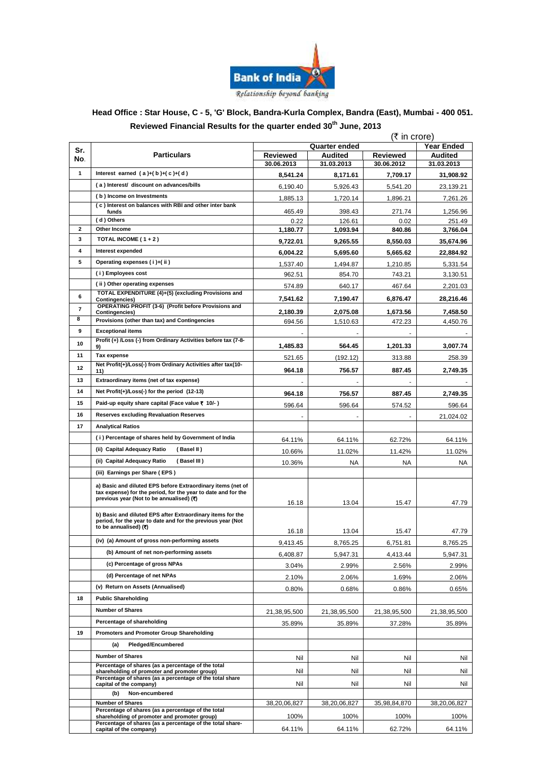

#### **Head Office : Star House, C - 5, 'G' Block, Bandra-Kurla Complex, Bandra (East), Mumbai - 400 051. Reviewed Financial Results for the quarter ended 30 th June, 2013**  $\left(\mathbf{F}^{\text{in}}\right)$

|                |                                                                                                                           | (र in crore)                |              |                 |                |  |
|----------------|---------------------------------------------------------------------------------------------------------------------------|-----------------------------|--------------|-----------------|----------------|--|
| Sr.            | <b>Particulars</b>                                                                                                        | Year Ended<br>Quarter ended |              |                 |                |  |
| No.            |                                                                                                                           | <b>Reviewed</b>             | Audited      | <b>Reviewed</b> | <b>Audited</b> |  |
|                |                                                                                                                           | 30.06.2013                  | 31.03.2013   | 30.06.2012      | 31.03.2013     |  |
| $\mathbf{1}$   | Interest earned $(a)+(b)+(c)+(d)$                                                                                         | 8,541.24                    | 8,171.61     | 7,709.17        | 31,908.92      |  |
|                | (a) Interest/ discount on advances/bills                                                                                  | 6,190.40                    | 5,926.43     | 5,541.20        | 23,139.21      |  |
|                | (b) Income on Investments<br>(c) Interest on balances with RBI and other inter bank                                       | 1,885.13                    | 1,720.14     | 1,896.21        | 7,261.26       |  |
|                | funds                                                                                                                     | 465.49                      | 398.43       | 271.74          | 1,256.96       |  |
|                | (d) Others                                                                                                                | 0.22                        | 126.61       | 0.02            | 251.49         |  |
| $\overline{2}$ | Other Income                                                                                                              | 1,180.77                    | 1,093.94     | 840.86          | 3,766.04       |  |
| 3              | TOTAL INCOME $(1+2)$                                                                                                      | 9,722.01                    | 9.265.55     | 8,550.03        | 35,674.96      |  |
| 4              | Interest expended                                                                                                         | 6,004.22                    | 5,695.60     | 5,665.62        | 22,884.92      |  |
| 5              | Operating expenses (i)+(ii)                                                                                               | 1,537.40                    | 1.494.87     | 1,210.85        | 5,331.54       |  |
|                | (i) Employees cost                                                                                                        | 962.51                      | 854.70       | 743.21          | 3,130.51       |  |
|                | (ii) Other operating expenses                                                                                             | 574.89                      | 640.17       | 467.64          | 2,201.03       |  |
| 6              | TOTAL EXPENDITURE (4)+(5) (excluding Provisions and<br><b>Contingencies)</b>                                              | 7,541.62                    | 7,190.47     | 6,876.47        | 28,216.46      |  |
| $\overline{7}$ | OPERATING PROFIT (3-6) (Profit before Provisions and<br><b>Contingencies)</b>                                             | 2,180.39                    | 2,075.08     | 1,673.56        | 7.458.50       |  |
| 8              | Provisions (other than tax) and Contingencies                                                                             | 694.56                      | 1,510.63     | 472.23          | 4,450.76       |  |
| 9              | <b>Exceptional items</b>                                                                                                  |                             |              |                 |                |  |
| 10             | Profit (+) /Loss (-) from Ordinary Activities before tax (7-8-<br>9)                                                      | 1,485.83                    | 564.45       | 1,201.33        | 3,007.74       |  |
| 11             | Tax expense                                                                                                               | 521.65                      | (192.12)     | 313.88          | 258.39         |  |
| 12             | Net Profit(+)/Loss(-) from Ordinary Activities after tax(10-                                                              |                             |              |                 |                |  |
| 13             | 11)<br>Extraordinary items (net of tax expense)                                                                           | 964.18                      | 756.57       | 887.45          | 2,749.35       |  |
| 14             | Net Profit(+)/Loss(-) for the period (12-13)                                                                              |                             |              |                 |                |  |
| 15             | Paid-up equity share capital (Face value ₹ 10/-)                                                                          | 964.18                      | 756.57       | 887.45          | 2,749.35       |  |
|                |                                                                                                                           | 596.64                      | 596.64       | 574.52          | 596.64         |  |
| 16             | <b>Reserves excluding Revaluation Reserves</b>                                                                            |                             |              |                 | 21,024.02      |  |
| 17             | <b>Analytical Ratios</b>                                                                                                  |                             |              |                 |                |  |
|                | (i) Percentage of shares held by Government of India                                                                      | 64.11%                      | 64.11%       | 62.72%          | 64.11%         |  |
|                | (ii) Capital Adequacy Ratio<br>(Basel II)                                                                                 | 10.66%                      | 11.02%       | 11.42%          | 11.02%         |  |
|                | (ii) Capital Adequacy Ratio<br>(Basel III)                                                                                | 10.36%                      | NA           | NA              | NA             |  |
|                | (iii) Earnings per Share (EPS)                                                                                            |                             |              |                 |                |  |
|                | a) Basic and diluted EPS before Extraordinary items (net of                                                               |                             |              |                 |                |  |
|                | tax expense) for the period, for the year to date and for the<br>previous year (Not to be annualised) (₹)                 |                             |              |                 |                |  |
|                |                                                                                                                           | 16.18                       | 13.04        | 15.47           | 47.79          |  |
|                | b) Basic and diluted EPS after Extraordinary items for the<br>period, for the year to date and for the previous year (Not |                             |              |                 |                |  |
|                | to be annualised) (₹)                                                                                                     | 16.18                       | 13.04        | 15.47           | 47.79          |  |
|                | (iv) (a) Amount of gross non-performing assets                                                                            | 9,413.45                    | 8,765.25     | 6,751.81        | 8,765.25       |  |
|                | (b) Amount of net non-performing assets                                                                                   | 6,408.87                    | 5,947.31     | 4,413.44        | 5,947.31       |  |
|                | (c) Percentage of gross NPAs                                                                                              |                             |              |                 |                |  |
|                | (d) Percentage of net NPAs                                                                                                | 3.04%                       | 2.99%        | 2.56%           | 2.99%          |  |
|                | (v) Return on Assets (Annualised)                                                                                         | 2.10%                       | 2.06%        | 1.69%           | 2.06%          |  |
| 18             | <b>Public Shareholding</b>                                                                                                | 0.80%                       | 0.68%        | 0.86%           | 0.65%          |  |
|                | <b>Number of Shares</b>                                                                                                   |                             |              |                 |                |  |
|                |                                                                                                                           | 21,38,95,500                | 21,38,95,500 | 21,38,95,500    | 21,38,95,500   |  |
|                | Percentage of shareholding                                                                                                | 35.89%                      | 35.89%       | 37.28%          | 35.89%         |  |
| 19             | Promoters and Promoter Group Shareholding                                                                                 |                             |              |                 |                |  |
|                | Pledged/Encumbered<br>(a)                                                                                                 |                             |              |                 |                |  |
|                | <b>Number of Shares</b>                                                                                                   | Nil                         | Nil          | Nil             | Nil            |  |
|                | Percentage of shares (as a percentage of the total<br>shareholding of promoter and promoter group)                        | Nil                         | Nil          | Nil             | Nil            |  |
|                | Percentage of shares (as a percentage of the total share<br>capital of the company)                                       | Nil                         | Nil          | Nil             | Nil            |  |
|                | Non-encumbered<br>(b)                                                                                                     |                             |              |                 |                |  |
|                | <b>Number of Shares</b>                                                                                                   | 38,20,06,827                | 38,20,06,827 | 35,98,84,870    | 38,20,06,827   |  |
|                | Percentage of shares (as a percentage of the total<br>shareholding of promoter and promoter group)                        | 100%                        | 100%         | 100%            | 100%           |  |
|                | Percentage of shares (as a percentage of the total share-<br>capital of the company)                                      | 64.11%                      | 64.11%       | 62.72%          | 64.11%         |  |
|                |                                                                                                                           |                             |              |                 |                |  |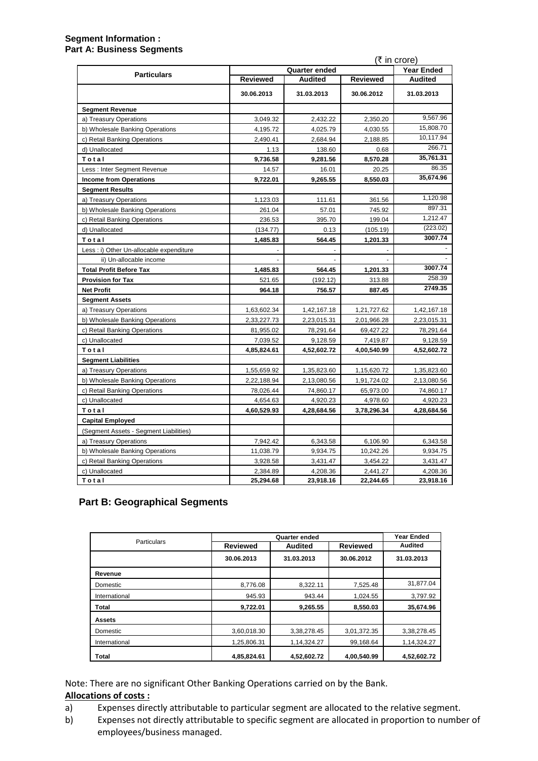### **Segment Information : Part A: Business Segments**

|                                          | (₹ in crore)    |                      |                 |                   |
|------------------------------------------|-----------------|----------------------|-----------------|-------------------|
| <b>Particulars</b>                       |                 | <b>Quarter ended</b> |                 | <b>Year Ended</b> |
|                                          | <b>Reviewed</b> | <b>Audited</b>       | <b>Reviewed</b> | <b>Audited</b>    |
|                                          | 30.06.2013      | 31.03.2013           | 30.06.2012      | 31.03.2013        |
| <b>Segment Revenue</b>                   |                 |                      |                 |                   |
| a) Treasury Operations                   | 3,049.32        | 2,432.22             | 2,350.20        | 9,567.96          |
| b) Wholesale Banking Operations          | 4,195.72        | 4,025.79             | 4,030.55        | 15,808.70         |
| c) Retail Banking Operations             | 2,490.41        | 2,684.94             | 2,188.85        | 10,117.94         |
| d) Unallocated                           | 1.13            | 138.60               | 0.68            | 266.71            |
| Total                                    | 9,736.58        | 9,281.56             | 8,570.28        | 35,761.31         |
| Less: Inter Segment Revenue              | 14.57           | 16.01                | 20.25           | 86.35             |
| <b>Income from Operations</b>            | 9,722.01        | 9,265.55             | 8,550.03        | 35,674.96         |
| <b>Segment Results</b>                   |                 |                      |                 |                   |
| a) Treasury Operations                   | 1,123.03        | 111.61               | 361.56          | 1,120.98          |
| b) Wholesale Banking Operations          | 261.04          | 57.01                | 745.92          | 897.31            |
| c) Retail Banking Operations             | 236.53          | 395.70               | 199.04          | 1,212.47          |
| d) Unallocated                           | (134.77)        | 0.13                 | (105.19)        | (223.02)          |
| Total                                    | 1,485.83        | 564.45               | 1,201.33        | 3007.74           |
| Less : i) Other Un-allocable expenditure |                 |                      |                 |                   |
| ii) Un-allocable income                  |                 |                      |                 |                   |
| <b>Total Profit Before Tax</b>           | 1,485.83        | 564.45               | 1,201.33        | 3007.74           |
| <b>Provision for Tax</b>                 | 521.65          | (192.12)             | 313.88          | 258.39            |
| <b>Net Profit</b>                        | 964.18          | 756.57               | 887.45          | 2749.35           |
| <b>Segment Assets</b>                    |                 |                      |                 |                   |
| a) Treasury Operations                   | 1,63,602.34     | 1,42,167.18          | 1,21,727.62     | 1,42,167.18       |
| b) Wholesale Banking Operations          | 2,33,227.73     | 2,23,015.31          | 2,01,966.28     | 2,23,015.31       |
| c) Retail Banking Operations             | 81,955.02       | 78,291.64            | 69,427.22       | 78,291.64         |
| c) Unallocated                           | 7,039.52        | 9,128.59             | 7,419.87        | 9,128.59          |
| Total                                    | 4,85,824.61     | 4,52,602.72          | 4,00,540.99     | 4,52,602.72       |
| <b>Segment Liabilities</b>               |                 |                      |                 |                   |
| a) Treasury Operations                   | 1,55,659.92     | 1,35,823.60          | 1,15,620.72     | 1,35,823.60       |
| b) Wholesale Banking Operations          | 2,22,188.94     | 2,13,080.56          | 1,91,724.02     | 2,13,080.56       |
| c) Retail Banking Operations             | 78,026.44       | 74,860.17            | 65,973.00       | 74,860.17         |
| c) Unallocated                           | 4,654.63        | 4,920.23             | 4,978.60        | 4,920.23          |
| Total                                    | 4,60,529.93     | 4,28,684.56          | 3,78,296.34     | 4,28,684.56       |
| <b>Capital Employed</b>                  |                 |                      |                 |                   |
| (Segment Assets - Segment Liabilities)   |                 |                      |                 |                   |
| a) Treasury Operations                   | 7,942.42        | 6,343.58             | 6,106.90        | 6,343.58          |
| b) Wholesale Banking Operations          | 11,038.79       | 9,934.75             | 10,242.26       | 9,934.75          |
| c) Retail Banking Operations             | 3,928.58        | 3,431.47             | 3,454.22        | 3,431.47          |
| c) Unallocated                           | 2,384.89        | 4,208.36             | 2,441.27        | 4,208.36          |
| Total                                    | 25,294.68       | 23,918.16            | 22,244.65       | 23,918.16         |

# **Part B: Geographical Segments**

|               |                 | Quarter ended  |                 |                |  |
|---------------|-----------------|----------------|-----------------|----------------|--|
| Particulars   | <b>Reviewed</b> | <b>Audited</b> | <b>Reviewed</b> | <b>Audited</b> |  |
|               | 30.06.2013      | 31.03.2013     | 30.06.2012      | 31.03.2013     |  |
| Revenue       |                 |                |                 |                |  |
| Domestic      | 8,776.08        | 8,322.11       | 7,525.48        | 31,877.04      |  |
| International | 945.93          | 943.44         | 1,024.55        | 3,797.92       |  |
| <b>Total</b>  | 9,722.01        | 9,265.55       | 8,550.03        | 35,674.96      |  |
| Assets        |                 |                |                 |                |  |
| Domestic      | 3,60,018.30     | 3,38,278.45    | 3,01,372.35     | 3,38,278.45    |  |
| International | 1,25,806.31     | 1,14,324.27    | 99,168.64       | 1,14,324.27    |  |
| <b>Total</b>  | 4,85,824.61     | 4,52,602.72    | 4,00,540.99     | 4,52,602.72    |  |

Note: There are no significant Other Banking Operations carried on by the Bank. **Allocations of costs :**

- a) Expenses directly attributable to particular segment are allocated to the relative segment.
- b) Expenses not directly attributable to specific segment are allocated in proportion to number of employees/business managed.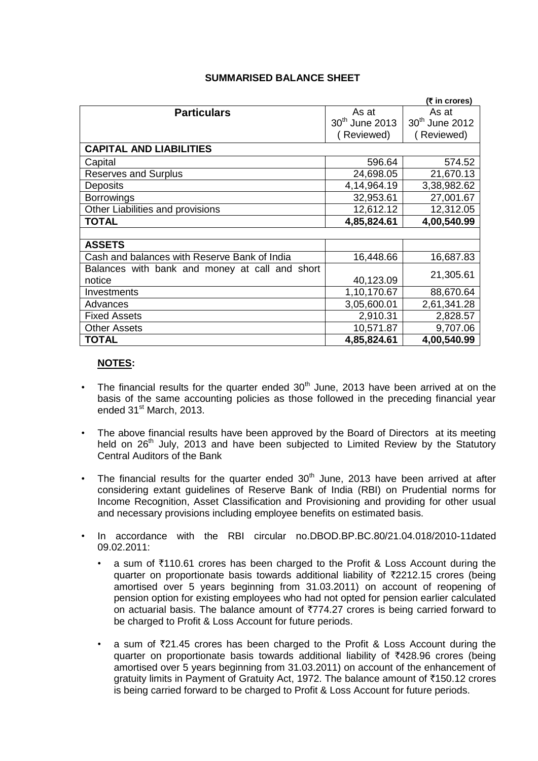|                                                |                            | (₹ in crores)              |  |
|------------------------------------------------|----------------------------|----------------------------|--|
| <b>Particulars</b>                             | As at                      | As at                      |  |
|                                                | 30 <sup>th</sup> June 2013 | 30 <sup>th</sup> June 2012 |  |
|                                                | (Reviewed)                 | (Reviewed)                 |  |
| <b>CAPITAL AND LIABILITIES</b>                 |                            |                            |  |
| Capital                                        | 596.64                     | 574.52                     |  |
| <b>Reserves and Surplus</b>                    | 24,698.05                  | 21,670.13                  |  |
| <b>Deposits</b>                                | 4,14,964.19                | 3,38,982.62                |  |
| <b>Borrowings</b>                              | 32,953.61                  | 27,001.67                  |  |
| Other Liabilities and provisions               | 12,612.12                  | 12,312.05                  |  |
| <b>TOTAL</b>                                   | 4,85,824.61                | 4,00,540.99                |  |
|                                                |                            |                            |  |
| <b>ASSETS</b>                                  |                            |                            |  |
| Cash and balances with Reserve Bank of India   | 16,448.66                  | 16,687.83                  |  |
| Balances with bank and money at call and short |                            |                            |  |
| notice                                         | 40,123.09                  | 21,305.61                  |  |
| Investments                                    | 1,10,170.67                | 88,670.64                  |  |
| Advances                                       | 3,05,600.01                | 2,61,341.28                |  |
| <b>Fixed Assets</b>                            | 2,910.31                   | 2,828.57                   |  |
| <b>Other Assets</b>                            | 10,571.87                  | 9,707.06                   |  |
| <b>TOTAL</b>                                   | 4,85,824.61                | 4,00,540.99                |  |

## **SUMMARISED BALANCE SHEET**

## **NOTES:**

- The financial results for the quarter ended  $30<sup>th</sup>$  June, 2013 have been arrived at on the basis of the same accounting policies as those followed in the preceding financial year ended 31<sup>st</sup> March, 2013.
- The above financial results have been approved by the Board of Directors at its meeting held on  $26<sup>th</sup>$  July, 2013 and have been subjected to Limited Review by the Statutory Central Auditors of the Bank
- The financial results for the quarter ended  $30<sup>th</sup>$  June, 2013 have been arrived at after considering extant guidelines of Reserve Bank of India (RBI) on Prudential norms for Income Recognition, Asset Classification and Provisioning and providing for other usual and necessary provisions including employee benefits on estimated basis.
- In accordance with the RBI circular no.DBOD.BP.BC.80/21.04.018/2010-11dated 09.02.2011:
	- a sum of  $\overline{5110.61}$  crores has been charged to the Profit & Loss Account during the quarter on proportionate basis towards additional liability of  $\overline{2}2212.15$  crores (being amortised over 5 years beginning from 31.03.2011) on account of reopening of pension option for existing employees who had not opted for pension earlier calculated on actuarial basis. The balance amount of  $\overline{2774.27}$  crores is being carried forward to be charged to Profit & Loss Account for future periods.
	- a sum of  $\overline{z}21.45$  crores has been charged to the Profit & Loss Account during the quarter on proportionate basis towards additional liability of  $\bar{\tau}$ 428.96 crores (being amortised over 5 years beginning from 31.03.2011) on account of the enhancement of gratuity limits in Payment of Gratuity Act, 1972. The balance amount of  $\bar{\tau}$ 150.12 crores is being carried forward to be charged to Profit & Loss Account for future periods.